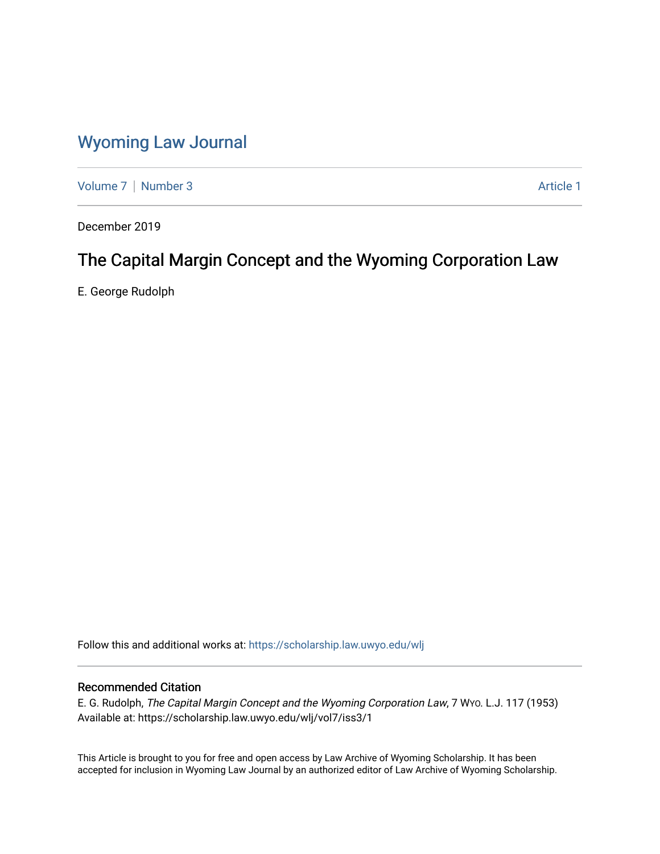## [Wyoming Law Journal](https://scholarship.law.uwyo.edu/wlj)

[Volume 7](https://scholarship.law.uwyo.edu/wlj/vol7) | [Number 3](https://scholarship.law.uwyo.edu/wlj/vol7/iss3) Article 1

December 2019

# The Capital Margin Concept and the Wyoming Corporation Law

E. George Rudolph

Follow this and additional works at: [https://scholarship.law.uwyo.edu/wlj](https://scholarship.law.uwyo.edu/wlj?utm_source=scholarship.law.uwyo.edu%2Fwlj%2Fvol7%2Fiss3%2F1&utm_medium=PDF&utm_campaign=PDFCoverPages) 

## Recommended Citation

E. G. Rudolph, The Capital Margin Concept and the Wyoming Corporation Law, 7 WYO. L.J. 117 (1953) Available at: https://scholarship.law.uwyo.edu/wlj/vol7/iss3/1

This Article is brought to you for free and open access by Law Archive of Wyoming Scholarship. It has been accepted for inclusion in Wyoming Law Journal by an authorized editor of Law Archive of Wyoming Scholarship.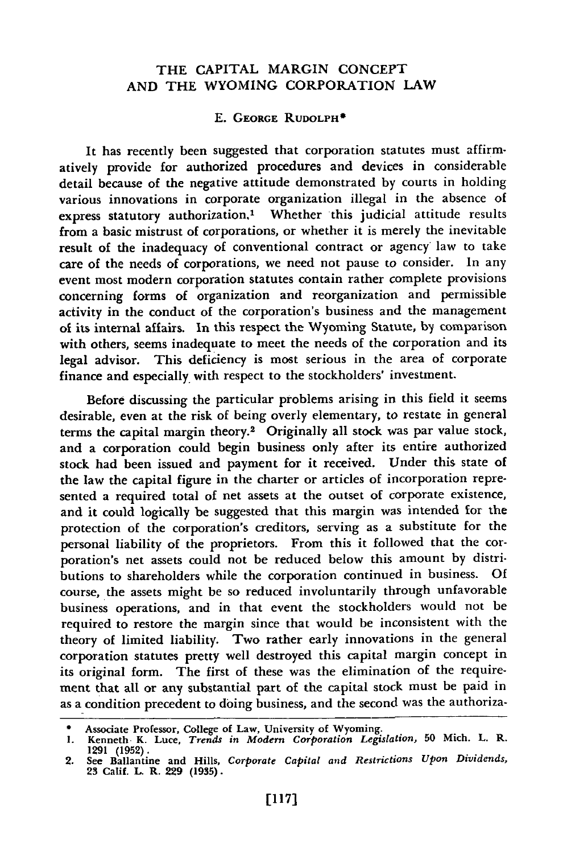### THE CAPITAL MARGIN **CONCEPT AND** THE WYOMING CORPORATION LAW

#### **E.** GEORGE RUDOLPH\*

It has recently been suggested that corporation statutes must affirmatively provide for authorized procedures and devices in considerable detail because of the negative attitude demonstrated by courts in holding various innovations in corporate organization illegal in the absence of express statutory authorization,<sup>1</sup> Whether this judicial attitude results from a basic mistrust of corporations, or whether it is merely the inevitable result of the inadequacy of conventional contract or agency law to take care of the needs of corporations, we need not pause to consider. In any event most modern corporation statutes contain rather complete provisions concerning forms of organization and reorganization and permissible activity in the conduct of the corporation's business and the management of its internal affairs. In this respect the Wyoming Statute, by comparison with others, seems inadequate to meet the needs of the corporation and its legal advisor. This deficiency is most serious in the area of corporate finance and especially, with respect to the stockholders' investment.

Before discussing the particular problems arising in this field it seems desirable, even at the risk of being overly elementary, to restate in general terms the capital margin theory.2 Originally all stock was par value stock, and a corporation could begin business only after its entire authorized stock had been issued and payment for it received. Under this state of the law the capital figure in the charter or articles of incorporation represented a required total of net assets at the outset of corporate existence, and it could logically be suggested that this margin was intended for the protection of the corporation's creditors, serving as a substitute for the personal liability of the proprietors. From this it followed that the corporation's net assets could not be reduced below this amount by distributions to shareholders while the corporation continued in business. Of course, the assets might be so reduced involuntarily through unfavorable business operations, and in that event the stockholders would not be required to restore the margin since that would be inconsistent with the theory of limited liability. Two rather early innovations in the general corporation statutes pretty well destroyed this capital margin concept in its original form. The first of these was the elimination of the requirement that all or any substantial part of the capital stock must be paid in as a condition precedent to doing business, and the second was the authoriza-

**<sup>\*</sup>** Associate Professor, College of Law, University of Wyoming.

**<sup>1.</sup>** Kenneth. K. Luce, *Trends in Modern Corporation Legislation,* **50** Mich. L. R. **1291 (1952).** 2. See Ballantine and Hills, *Corporate Capital and Restrictions Upon Dividends,*

**<sup>23</sup>** Calif. L. R. **229 (1935).**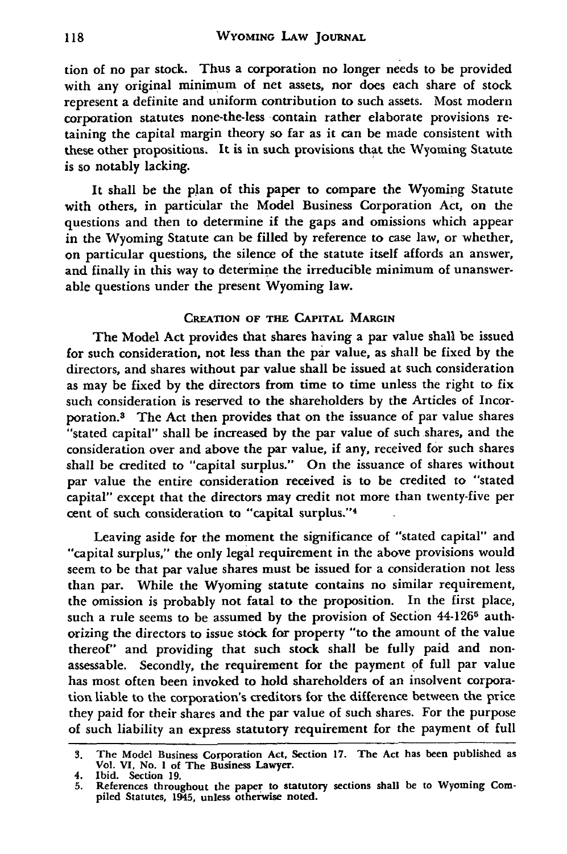tion of no par stock. Thus a corporation no longer needs to be provided with any original minimum of net assets, nor does each share of stock represent a definite and uniform contribution to such assets. Most modern corporation statutes none-the-less contain rather elaborate provisions retaining the capital margin theory so far as it can be made consistent with these other propositions. It is in such provisions that the Wyoming Statute is so notably lacking.

It shall be the plan of this paper to compare the Wyoming Statute with others, in particular the Model Business Corporation Act, on the questions and then to determine if the gaps and omissions which appear in the Wyoming Statute can be filled by reference to case law, or whether, on particular questions, the silence of the statute itself affords an answer, and finally in this way to determine the irreducible minimum of unanswerable questions under the present Wyoming law.

#### **CREATION OF THE CAPITAL MARGIN**

The Model Act provides that shares having a par value shall be issued for such consideration, not less than the par value, as shall be fixed **by** the directors, and shares without par value shall be issued at such consideration as may be fixed **by** the directors from time to time unless the right to fix such consideration is reserved to the shareholders **by** the Articles of Incorporation.3 The Act then provides that on the issuance of par value shares "stated capital" shall be increased **by** the par value of such shares, and the consideration over and above the par value, if any, received for such shares shall be credited to "capital surplus." On the issuance of shares without par value the entire consideration received is to be credited to "stated capital" except that the directors may credit not more than twenty-five per cent of such consideration to "capital surplus."<sup>4</sup>

Leaving aside for the moment the significance of "stated capital" and "capital surplus," the only legal requirement in the above provisions would seem to be that par value shares must be issued for a consideration not less than par. While the Wyoming statute contains no similar requirement, the omission is probably not fatal to the proposition. In the first place, such a rule seems to be assumed by the provision of Section 44-126<sup>5</sup> authorizing the directors to issue stock for property "to the amount of the value thereof" and providing that such stock shall be fully paid and nonassessable. Secondly, the requirement for the payment **of** full par value has most often been invoked to hold shareholders of an insolvent corporation liable to the corporation's creditors for the difference between the price they paid for their shares and the par value of such shares. For the purpose of such liability an express statutory requirement for the payment of full

**<sup>3.</sup>** The Model Business Corporation Act, Section 17. The Act has been published as Vol. VI, No. **I** of The Business Lawyer.

<sup>4.</sup> Ibid. Section **19.**

**<sup>5.</sup>** References throughout the paper to statutory sections shall be to Wyoming Compiled Statutes, 1945, unless otherwise noted.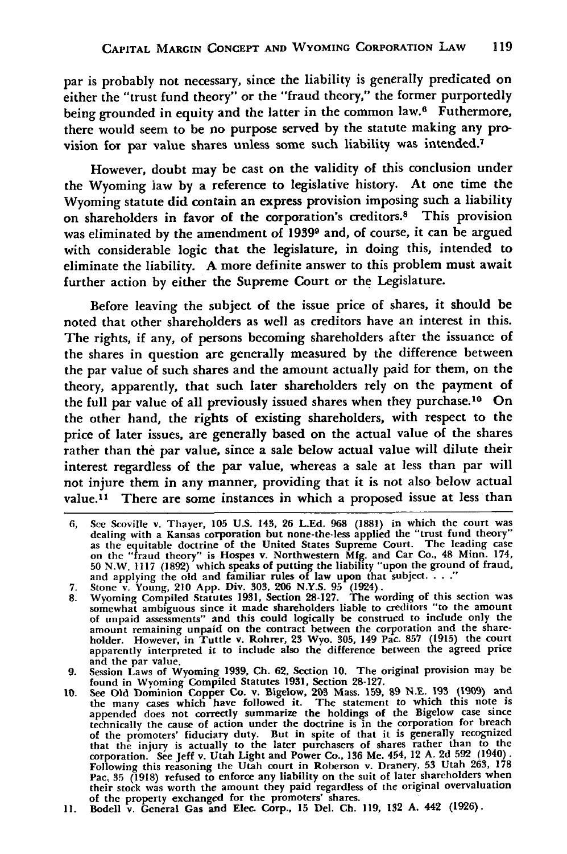par is probably not necessary, since the liability is generally predicated on either the "trust fund theory" or the "fraud theory," the former purportedly being grounded in equity and the latter in the common law.<sup>6</sup> Futhermore, there would seem to be no purpose served **by** the statute making any provision for par value shares unless some such liability was intended.<sup>7</sup>

However, doubt may be cast on the validity of this conclusion under the Wyoming law by a reference to legislative history. At one time the Wyoming statute did contain an express provision imposing such a liability on shareholders in favor of the corporation's creditors.8 This provision was eliminated by the amendment of **19399** and, of course, it can be argued with considerable logic that the legislature, in doing this, intended to eliminate the liability. A more definite answer to this problem must await further action by either the Supreme Court or the Legislature.

Before leaving the subject of the issue price of shares, it should be noted that other shareholders as well as creditors have an interest in this. The rights, if any, of persons becoming shareholders after the issuance of the shares in question are generally measured by the difference between the par value of such shares and the amount actually paid for them, on the theory, apparently, that such later shareholders rely on the payment of the full par value of all previously issued shares when they purchase.10 On the other hand, the rights of existing shareholders, with respect to the price of later issues, are generally based on the actual value of the shares rather than the par value, since a sale below actual value will dilute their interest regardless of the par value, whereas a sale at less than par will not injure them in any manner, providing that it is not also below actual value.<sup>11</sup> There are some instances in which a proposed issue at less than

- 
- on the "fraud theory" is Hospes v. Northwestern Mfg. and Car Co., 48 Minn. 174, 50 N.W. 1117 (1892) which speaks of putting the liability "upon the ground of fraud, and applying the old and familiar rules of law upon that apparently interpreted it to include also the difference between the agreed price<br>and the par value.
- 9. Session Laws of Wyoming 1939, Ch. 62, Section 10. The original provision may be<br>1981 Session Laws of Wyoming Compiled Statutes 1931, Section 28-127.<br>10. See Old Dominion Copper Co. v. Bigelow, 203 Mass. 159, 89 N.E. 193
- appended does not correctly summarize the holdings of the Bigelow case since<br>technically the cause of action under the doctrine is in the corporation for breach<br>of the promoters' fiduciary duty. But in spite of that it is Pac. 35 (1918) refused to enforce any liability on the suit of later shareholders when<br>their stock was worth the amount they paid regardless of the original overvaluation<br>of the property exchanged for the promoters' shares
- 

<sup>6,</sup> See Scoville v. Thayer, 105 U.S. 143, 26 L.Ed. 968 (1881) in which the court was dealing with a Kansas corporation but none-the-less applied the "trust fund theory" as the equitable doctrine of the United States Supreme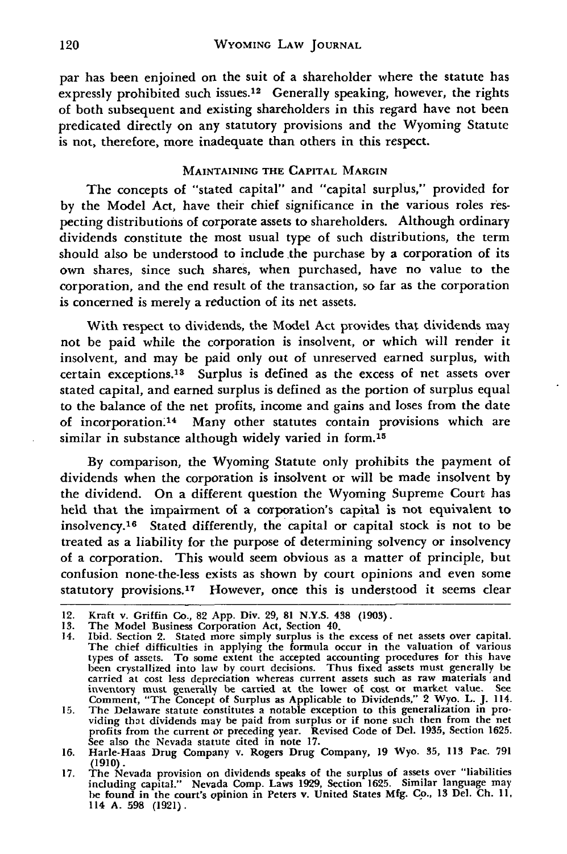par has been enjoined on the suit of a shareholder where the statute has expressly prohibited such issues.<sup>12</sup> Generally speaking, however, the rights of both subsequent and existing shareholders in this regard have not been predicated directly on any statutory provisions and the Wyoming Statute is not, therefore, more inadequate than others in this respect.

#### **MAINTAINING** THE **CAPITAL** MARGIN

The concepts of "stated capital" and "capital surplus," provided for by the Model Act, have their chief significance in the various roles respecting distributions of corporate assets to shareholders. Although ordinary dividends constitute the most usual type of such distributions, the term should also be understood to include the purchase by a corporation of its own shares, since such shares, when purchased, have no value to the corporation, and the end result of the transaction, so far as the corporation is concerned is merely a reduction of its net assets.

With respect to dividends, the Model Act provides that dividends may not be paid while the corporation is insolvent, or which will render it insolvent, and may be paid only out of unreserved earned surplus, with certain exceptions.<sup>13</sup> Surplus is defined as the excess of net assets over stated capital, and earned surplus is defined as the portion of surplus equal to the balance of the net profits, income and gains and loses from the date of incorporation.<sup>14</sup> Many other statutes contain provisions which are similar in substance although widely varied in form.<sup>15</sup>

By comparison, the Wyoming Statute only prohibits the payment of dividends when the corporation is insolvent or will be made insolvent by the dividend. On a different question the Wyoming Supreme Court has held that the impairment of a corporation's capital is not equivalent to insolvency.<sup>16</sup> Stated differently, the capital or capital stock is not to be treated as a liability for the purpose of determining solvency or insolvency of a corporation. This would seem obvious as a matter of principle, but confusion none-the-less exists as shown by court opinions and even some statutory provisions. 7 However, once this is understood it seems clear

<sup>12.</sup> Kraft v. Griffin Co., **82 App.** Div. **29, 81** N.Y.S. 438 **(1903).**

**<sup>13.</sup>** The Model Business Corporation Act, Section 40.

<sup>14.</sup> Ibid. Section 2. Stated more simply surplus is the excess of net assets over capital.<br>The chief difficulties in applying the formula occur in the valuation of various types of assets. To some extent the accepted accoun been crystallized into law **by** court decisions. Thus fixed assets must generally be carried at cost less depreciation whereas current assets such as raw materials and<br>inventory must generally be carried at the lower of cost or market value. See<br>Comment, "The Concept of Surplus as Applicable to Dividends,"

profits from the current or preceding year. Revised Code of Del. 1935, Section 1625.<br>See also the Nevada statute cited in note 17.<br>16. Harle-Haas Drug Company v. Rogers Drug Company, 19 Wyo. 35, 113 Pac. 791

**<sup>(1910).</sup> 17.** The Nevada provision on dividends speaks of the surplus of assets over "liabilities

including capital." Nevada Comp. Laws **1929,** Section **1625.** Similar language may be found in the court's opinion in Peters v. United States **Mfg.** Co., **13 Del. Ch. 11,** 114 **A. 598 (1921).**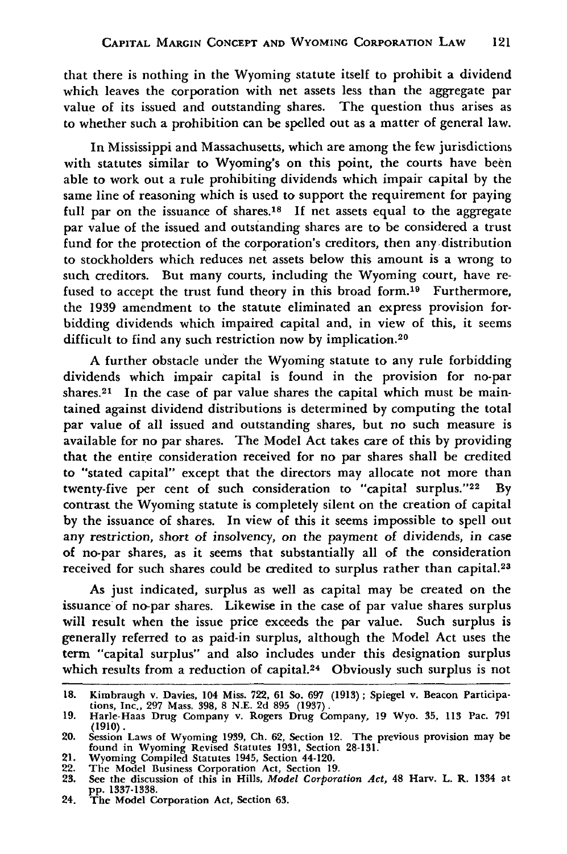that there is nothing in the Wyoming statute itself to prohibit a dividend which leaves the corporation with net assets less than the aggregate par value of its issued and outstanding shares. The question thus arises as to whether such a prohibition can be spelled out as a matter of general law.

In Mississippi and Massachusetts, which are among the few jurisdictions with statutes similar to Wyoming's on this point, the courts have been able to work out a rule prohibiting dividends which impair capital by the same line of reasoning which is used to support the requirement for paying full par on the issuance of shares.18 **If** net assets equal to the aggregate par value of the issued and outstanding shares are to be considered a trust fund for the protection of the corporation's creditors, then any distribution to stockholders which reduces net assets below this amount is a wrong to such creditors. But many courts, including the Wyoming court, have refused to accept the trust fund theory in this broad form.<sup>19</sup> Furthermore, the 1939 amendment to the statute eliminated an express provision forbidding dividends which impaired capital and, in view of this, it seems difficult to find any such restriction now by implication.<sup>20</sup>

A further obstacle under the Wyoming statute to any rule forbidding dividends which impair capital is found in the provision for no-par shares.<sup>21</sup> In the case of par value shares the capital which must be maintained against dividend distributions is determined by computing the total par value of all issued and outstanding shares, but no such measure is available for no par shares. The Model Act takes care of this by providing that the entire consideration received for no par shares shall be credited to "stated capital" except that the directors may allocate not more than twenty-five per cent of such consideration to "capital surplus."<sup>22</sup> By contrast the Wyoming statute is completely silent on the creation of capital by the issuance of shares. In view of this it seems impossible to spell out any restriction, short of insolvency, on the payment of dividends, in case of no-par shares, as it seems that substantially all of the consideration received for such shares could be credited to surplus rather than capital.<sup>23</sup>

As just indicated, surplus as well as capital may be created on the issuance of no-par shares. Likewise in the case of par value shares surplus will result when the issue price exceeds the par value. Such surplus is generally referred to as paid-in surplus, although the Model Act uses the term "capital surplus" and also includes under this designation surplus which results from a reduction of capital.<sup>24</sup> Obviously such surplus is not

**<sup>18.</sup>** Kimbraugh v. Davies, 104 Miss. **722, 61** So. **697** (1913); Spiegel v. Beacon Participations, Inc., **297** Mass. **398, 8 N.E. 2d 895 (1937). 19.** Harle-Haas Drug Company v. Rogers Drug Company, **19** Wyo. **35, 113** Pac. **791**

**<sup>(1910).</sup>** 20. Session Laws of Wyoming 1939, **Ch.** 62, Section 12. The previous provision may be found in Wyoming Revised Statutes **1931,** Section **28-131.**

<sup>21.</sup> Wyoming Compiled Statutes 1945, Section 44-120. 22. The Model Business Corporation Act, Section **19.**

**<sup>23.</sup>** See the discussion of this in Hills, *Model Corporation Act,* 48 Harv. L. R. 1334 at **pp. 1337-1338.** 24. The Model Corporation Act, Section **63.**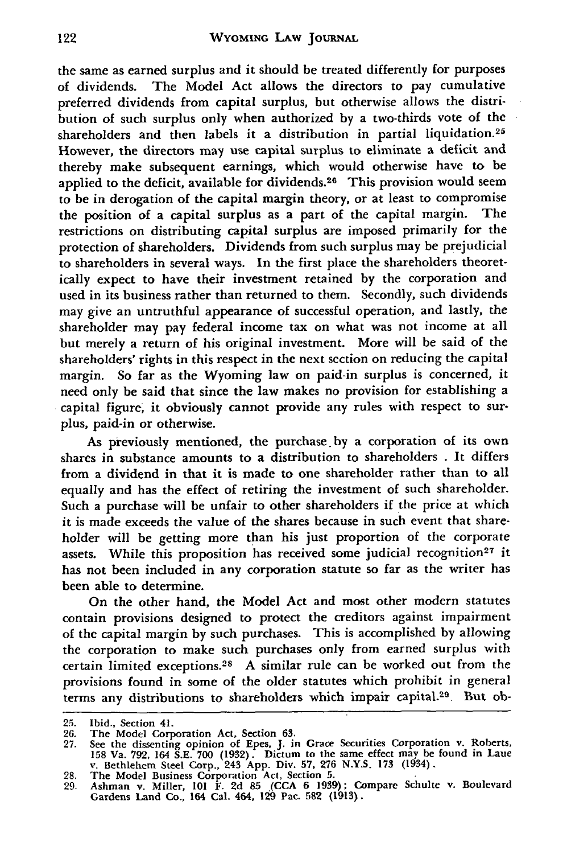the same as earned surplus and it should be treated differently for purposes of dividends. The Model Act allows the directors to pay cumulative preferred dividends from capital surplus, but otherwise allows the distribution of such surplus only when authorized **by** a two-thirds vote of the shareholders and then labels it a distribution in partial liquidation.25 However, the directors may use capital surplus to eliminate a deficit and thereby make subsequent earnings, which would otherwise have to be applied to the deficit, available for dividends.<sup>26</sup> This provision would seem to be in derogation of the capital margin theory, or at least to compromise the position of a capital surplus as a part of the capital margin. The restrictions on distributing capital surplus are imposed primarily for the protection of shareholders. Dividends from such surplus may be prejudicial to shareholders in several ways. In the first place the shareholders theoretically expect to have their investment retained **by** the corporation and used in its business rather than returned to them. Secondly, such dividends may give an untruthful appearance of successful operation, and lastly, the shareholder may pay federal income tax on what was not income at all but merely a return of his original investment. More will be said of the shareholders' rights in this respect in the next section on reducing the capital margin. So far as the Wyoming law on paid-in surplus is concerned, it need only be said that since the law makes no provision for establishing a capital figure, it obviously cannot provide any rules with respect to surplus, paid-in or otherwise.

As previously mentioned, the purchase **by** a corporation of its own shares in substance amounts to a distribution to shareholders . It differs from a dividend in that it is made to one shareholder rather than to all equally and has the effect of retiring the investment of such shareholder. Such a purchase will be unfair to other shareholders if the price at which it is made exceeds the value of the shares because in such event that shareholder will be getting more than his just proportion of the corporate assets. While this proposition has received some judicial recognition<sup>27</sup> it has not been included in any corporation statute so far as the writer has been able to determine.

On the other hand, the Model Act and most other modern statutes contain provisions designed to protect the creditors against impairment of the capital margin by such purchases. This is accomplished by allowing the corporation to make such purchases only from earned surplus with certain limited exceptions. <sup>28</sup>**A** similar rule can be worked out from the provisions found in some of the older statutes which prohibit in general terms any distributions to shareholders which impair capital.29 But ob-

**<sup>25.</sup>** Ibid., Section 41.

<sup>26.</sup> The Model Corporation Act, Section 63.<br>27. See the dissenting opinion of Epes, J. in Grace Securities Corporation v. Roberts<br>158 Va. 792, 164 S.E. 700 (1932). Dictum to the same effect may be found in Laue v. Bethlehem Steel Corp., 243 App. Div. **57,** 276 N.Y.S. **173** (1934). **28.** The Model Business Corporation Act, Section **5.**

<sup>29.</sup> Ashman v. Miller, 101 F. 2d **85 (CCA** 6 1939); Compare Schulte v. Boulevard Gardens Land Co., 164 Cal. 464, **129** Pac. **582 (1913).**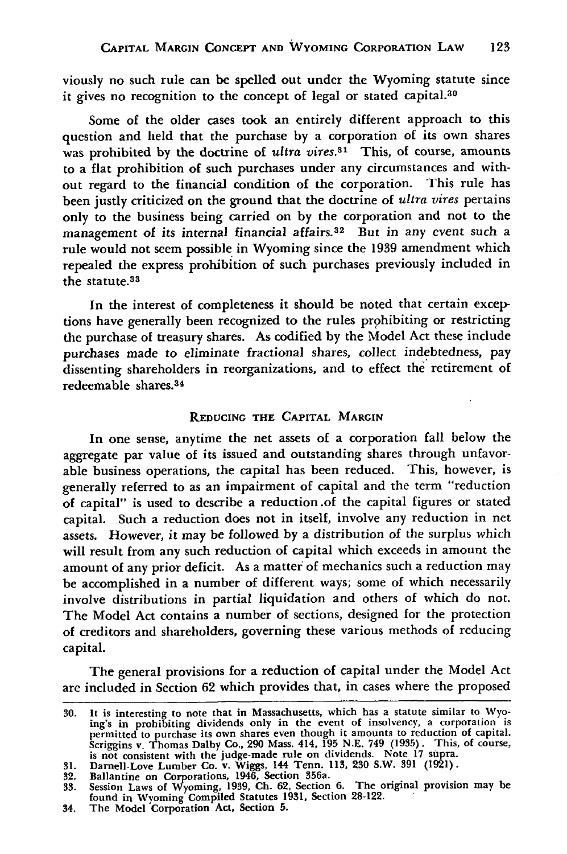viously no such rule can be spelled out under the Wyoming statute since it gives no recognition to the concept of legal or stated capital.30

Some of the older cases took an entirely different approach to this question and held that the purchase by a corporation of its own shares was prohibited by the doctrine of *ultra vires*.<sup>31</sup> This, of course, amounts to a flat prohibition of such purchases under any circumstances and without regard to the financial condition of the corporation. This rule has been justly criticized on the ground that the doctrine of *ultra vires* pertains only to the business being carried on by the corporation and not to the management of its internal financial affairs.<sup>32</sup> But in any event such a rule would not seem possible in Wyoming since the 1939 amendment which repealed the express prohibition of such purchases previously included in the statute.<sup>33</sup>

In the interest of completeness it should be noted that certain exceptions have generally been recognized to the rules prohibiting or restricting the purchase of treasury shares. As codified by the Model Act these include purchases made to eliminate fractional shares, collect indebtedness, pay dissenting shareholders in reorganizations, and to effect the retirement of redeemable shares.3 <sup>4</sup>

#### **REDUCING THE CAPITAL MARGIN**

In one sense, anytime the net assets of a corporation fall below the aggregate par value of its issued and outstanding shares through unfavorable business operations, the capital has been reduced. This, however, is generally referred to as an impairment of capital and the term "reduction of capital" is used to describe a reduction .of the capital figures or stated capital. Such a reduction does not in itself, involve any reduction in net assets. However, it may be followed by a distribution of the surplus which will result from any such reduction of capital which exceeds in amount the amount of any prior deficit. As a matter of mechanics such a reduction may be accomplished in a number of different ways; some of which necessarily involve distributions in partial liquidation and others of which do not. The Model Act contains a number of sections, designed for the protection of creditors and shareholders, governing these various methods of reducing capital.

The general provisions for a reduction of capital under the Model Act are included in Section **62** which provides that, in cases where the proposed

**<sup>30.</sup>** It is interesting to note that in Massachusetts, which has a statute similar to Wyo-ing's in prohibiting dividends only in the event of insolvency, a corporation is in permitted to purchase its own shares even though it amounts to reduction of capital<br>scriggins v. Thomas Dalby Co., 290 Mass. 414, 195 N.E. 749 (1935). This, of course<br>is not consistent with the judge-made rule on divide

<sup>34.</sup> The Model Corporation Act, Section **5.**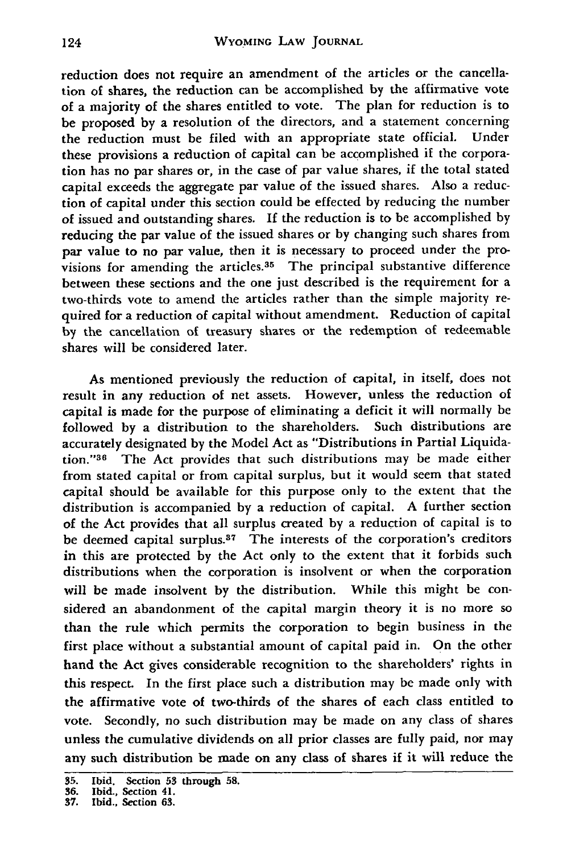reduction does not require an amendment of the articles or the cancellation of shares, the reduction can be accomplished **by** the affirmative vote of a majority of the shares entitled to vote. The plan for reduction is to be proposed **by** a resolution of the directors, and a statement concerning the reduction must be filed with an appropriate state official. Under these provisions a reduction of capital can be accomplished if the corporation has no par shares or, in the case of par value shares, if the total stated capital exceeds the aggregate par value of the issued shares. **Also** a reduction of capital under this section could be effected **by** reducing the number of issued and outstanding shares. **If** the reduction is to be accomplished **by** reducing the par value of the issued shares or **by** changing such shares from par value to no par value, then it is necessary to proceed under the provisions for amending the articles.<sup>35</sup> The principal substantive difference between these sections and the one just described is the requirement for a two-thirds vote to amend the articles rather than the simple majority required for a reduction of capital without amendment. Reduction of capital **by** the cancellation of treasury shares or the redemption of redeemable shares will be considered later.

As mentioned previously the reduction of capital, in itself, does not result in any reduction of net assets. However, unless the reduction of capital is made for the purpose of eliminating a deficit it will normally be followed by a distribution to the shareholders. Such distributions are accurately designated **by** the Model Act as "Distributions in Partial Liquidation."<sup>36</sup> The Act provides that such distributions may be made either from stated capital or from capital surplus, but it would seem that stated capital should be available for this purpose only to the extent that the distribution is accompanied **by** a reduction of capital. A further section of the Act provides that all surplus created by a reduction of capital is to be deemed capital surplus.<sup>37</sup> The interests of the corporation's creditors in this are protected by the Act only to the extent that it forbids such distributions when the corporation is insolvent or when the corporation will be made insolvent **by** the distribution. While this might be considered an abandonment of the capital margin theory it is no more so than the rule which permits the corporation to begin business in the first place without a substantial amount of capital paid in. On the other hand the Act gives considerable recognition to the shareholders' rights in this respect. In the first place such a distribution may be made only with the affirmative vote of two-thirds of the shares of each class entitled to vote. Secondly, no such distribution may be made on any class of shares unless the cumulative dividends on all prior classes are fully paid, nor may any such distribution be made on any **class** of shares if it will reduce the

**<sup>35.</sup> Ibid.** Section **53 through 58. 36. Ibid.,** Section **41. 37. Ibid.,** Section **63.**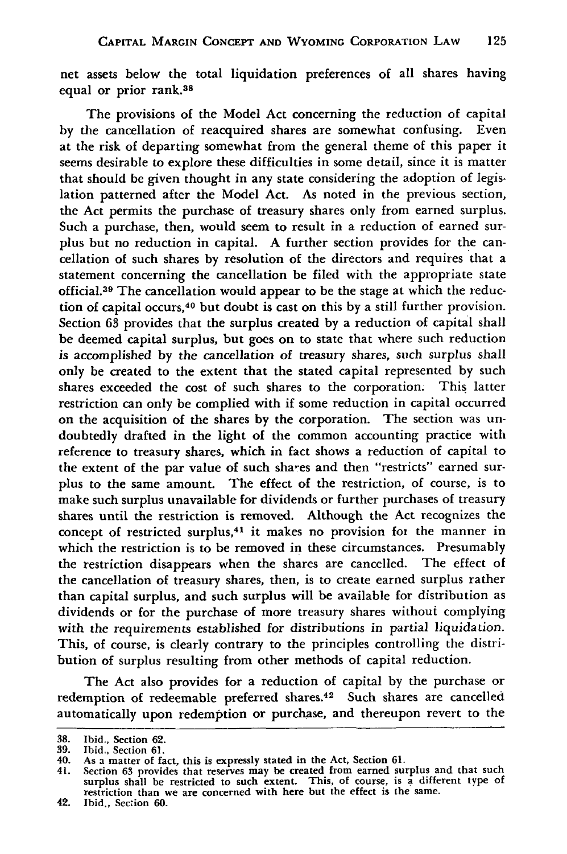**net** assets below the total liquidation preferences of all shares having equal or prior rank.38

The provisions of the Model Act concerning the reduction of capital by the cancellation of reacquired shares are somewhat confusing. Even at the risk of departing somewhat from the general theme of this paper it seems desirable to explore these difficulties in some detail, since it is matter that should be given thought in any state considering the adoption of legislation patterned after the Model Act. As noted in the previous section, the Act permits the purchase of treasury shares only from earned surplus. Such a purchase, then, would seem to result in a reduction of earned surplus but no reduction in capital. A further section provides for the cancellation of such shares **by** resolution of the directors and requires that a statement concerning the cancellation be filed with the appropriate state official.<sup>39</sup> The cancellation would appear to be the stage at which the reduction of capital occurs, 40 but doubt is cast on this **by** a still further provision. Section **63** provides that the surplus created **by** a reduction of capital shall be deemed capital surplus, but goes on to state that where such reduction is accomplished by the cancellation of treasury shares, such surplus shall only be created to the extent that the stated capital represented **by** such shares exceeded the cost of such shares to the corporation. This latter restriction can only be complied with if some reduction in capital occurred on the acquisition of the shares **by** the corporation. The section was undoubtedly drafted in the light of the common accounting practice with reference to treasury shares, which in fact shows a reduction of capital to the extent of the par value of such shares and then "restricts" earned surplus to the same amount. The effect of the restriction, of course, is to make such surplus unavailable for dividends or further purchases of treasury shares until the restriction is removed. Although the Act recognizes the concept of restricted surplus,<sup>41</sup> it makes no provision for the manner in which the restriction is to be removed in these circumstances. Presumably the restriction disappears when the shares are cancelled. The effect of the cancellation of treasury shares, then, is to create earned surplus rather than capital surplus, and such surplus will be available for distribution as dividends or for the purchase of more treasury shares without complying with the requirements established for distributions in partial liquidation. This, of course, is clearly contrary to the principles controlling the distribution of surplus resulting from other methods of capital reduction.

The Act also provides for a reduction of capital **by** the purchase or redemption of redeemable preferred shares. 42 Such shares are cancelled automatically upon redemption or purchase, and thereupon revert to the

**<sup>38.</sup>** Ibid., Section **62. 39.** Ibid., Section **61.**

<sup>40.</sup> As a matter of fact, this is expressly stated in the Act, Section **61.**

<sup>41.</sup> Section **63** provides that reserves may be created from earned surplus and that such surplus shall be restricted to such extent. This, of course, is **a** different type of restriction than we are concerned with here but the effect is the same.

<sup>42.</sup> Ibid., Section **60.**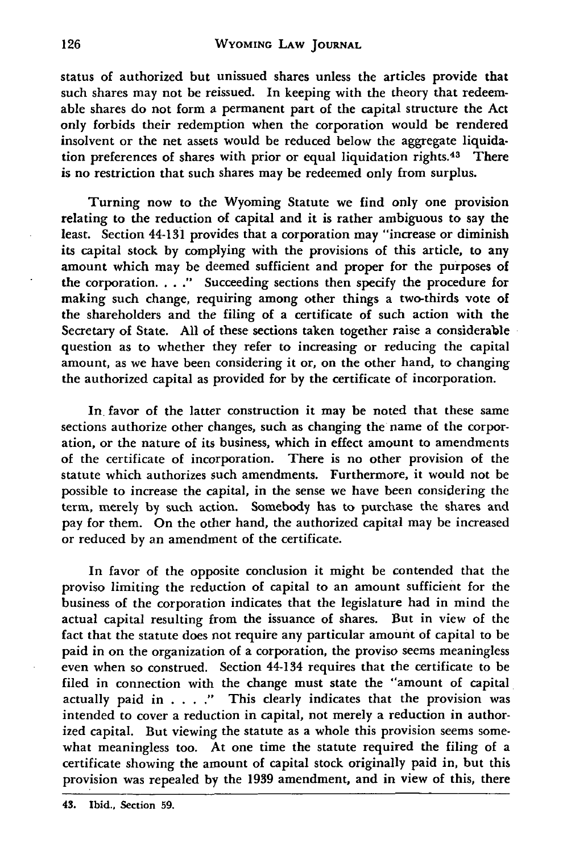status of authorized but unissued shares unless the articles provide that such shares may not be reissued. In keeping with the theory that redeemable shares do not form a permanent part of the capital structure the Act only forbids their redemption when the corporation would be rendered insolvent or the net assets would be reduced below the aggregate liquidation preferences of shares with prior or equal liquidation rights.<sup>43</sup> There is no restriction that such shares may be redeemed only from surplus.

Turning now to the Wyoming Statute we find only one provision relating to the reduction of capital and it is rather ambiguous to say the least. Section 44-131 provides that a corporation may "increase or diminish its capital stock by complying with the provisions of this article, to any amount which may be deemed sufficient and proper for the purposes of the corporation. . . **."** Succeeding sections then specify the procedure for making such change, requiring among other things a two-thirds vote of the shareholders and the filing of a certificate of such action with the Secretary of State. All of these sections taken together raise a considerable question as to whether they refer to increasing or reducing the capital amount, as we have been considering it or, on the other hand, to changing the authorized capital as provided for **by** the certificate of incorporation.

In favor of the latter construction it may be noted that these same sections authorize other changes, such as changing the name of the corporation, or the nature of its business, which in effect amount to amendments of the certificate of incorporation. There is no other provision of the statute which authorizes such amendments. Furthermore, it would not be possible to increase the capital, in the sense we have been considering the term, merely by such action. Somebody has to purchase the shares and pay for them. On the other hand, the authorized capital may be increased or reduced by an amendment of the certificate.

In favor of the opposite conclusion it might be contended that the proviso limiting the reduction of capital to an amount sufficient for the business of the corporation indicates that the legislature had in mind the actual capital resulting from the issuance of shares. But in view of the fact that the statute does not require any particular amount of capital to be paid in on the organization of a corporation, the proviso seems meaningless even when so construed. Section 44-134 requires that the certificate to be filed in connection with the change must state the "amount of capital actually paid in . **. . ."** This clearly indicates that the provision was intended to cover a reduction in capital, not merely a reduction in authorized capital. But viewing the statute as a whole this provision seems somewhat meaningless too. At one time the statute required the filing of a certificate showing the amount of capital stock originally paid in, but this provision was repealed by the 1939 amendment, and in view of this, there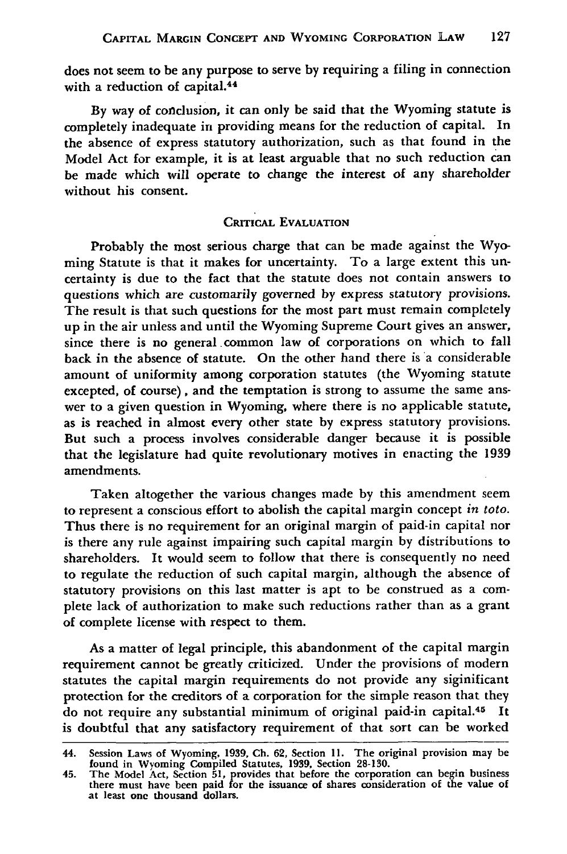does not seem to be any purpose to serve **by** requiring a filing in connection with a reduction of capital.<sup>44</sup>

**By** way of conclusion, it can only be said that the Wyoming statute is completely inadequate in providing means for the reduction of capital. In the absence of express statutory authorization, such as that found in the Model Act for example, it is at least arguable that no such reduction can be made which will operate to change the interest of any shareholder without his consent.

#### **CRITICAL EVALUATION**

Probably the most serious charge that can be made against the **Wyo**ming Statute is that it makes for uncertainty. To a large extent this uncertainty is due to the fact that the statute does not contain answers to questions which are customarily governed by express statutory provisions. The result is that such questions for the most part must remain completely up in the air unless and until the Wyoming Supreme Court gives an answer, since there is no general common law of corporations on which to fall back in the absence of statute. On the other hand there is a considerable amount of uniformity among corporation statutes (the Wyoming statute excepted, of course), and the temptation is strong to assume the same answer to a given question in Wyoming, where there is no applicable statute, as is reached in almost every other state by express statutory provisions. But such a process involves considerable danger because it is possible that the legislature had quite revolutionary motives in enacting the 1939 amendments.

Taken altogether the various changes made by this amendment seem to represent a conscious effort to abolish the capital margin concept *in toto.* Thus there is no requirement for an original margin of paid-in capital nor is there any rule against impairing such capital margin by distributions to shareholders. It would seem to follow that there is consequently no need to regulate the reduction of such capital margin, although the absence of statutory provisions on this last matter is apt to be construed as a complete lack of authorization to make such reductions rather than as a grant of complete license with respect to them.

As a matter of legal principle, this abandonment of the capital margin requirement cannot be greatly criticized. Under the provisions of modern statutes the capital margin requirements do not provide any siginificant protection for the creditors of a corporation for the simple reason that they do not require any substantial minimum of original paid-in capital.<sup>45</sup> It is doubtful that any satisfactory requirement of that sort can be worked

<sup>44.</sup> Session Laws of Wyoming, 1939, **Ch. 62,** Section **11.** The original provision may be

found in Wyoming Compiled Statutes, 1939, Section 28-130.<br>45. The Model Act, Section 51, provides that before the corporation can begin business<br>there must have been paid for the issuance of shares consideration of the val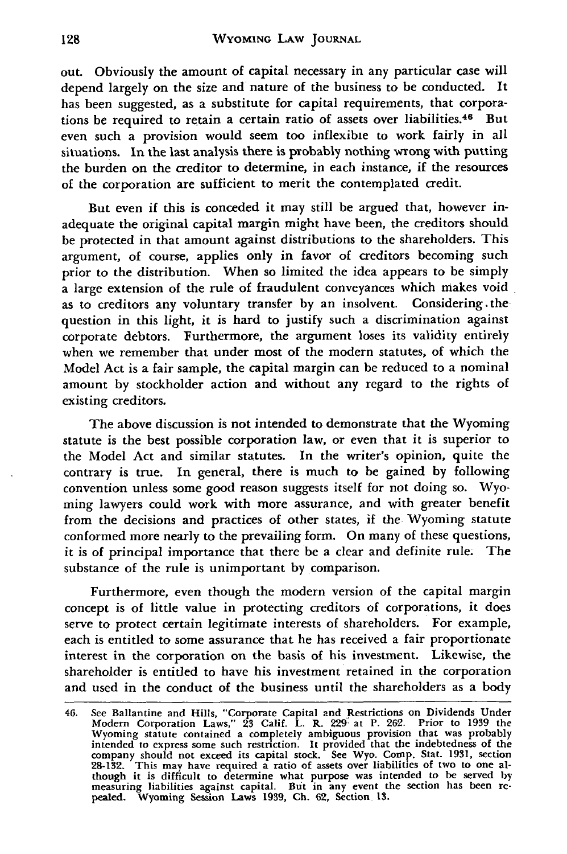out. Obviously the amount of capital necessary in any particular case will depend largely on the size and nature of the business to be conducted. It has been suggested, as a substitute for capital requirements, that corporations be required to retain a certain ratio of assets over liabilities.<sup>46</sup> But even such a provision would seem too inflexible to work fairly in all situations. In the last analysis there is probably nothing wrong with putting the burden on the creditor to determine, in each instance, if the resources of the corporation are sufficient to merit the contemplated credit.

But even if this is conceded it may still be argued that, however inadequate the original capital margin might have been, the creditors should be protected in that amount against distributions to the shareholders. This argument, of course, applies only in favor of creditors becoming such prior to the distribution. When so limited the idea appears to be simply a large extension of the rule of fraudulent conveyances which makes void as to creditors any voluntary transfer by an insolvent. Considering .the question in this light, it is hard to justify such a discrimination against corporate debtors. Furthermore, the argument loses its validity entirely when we remember that under most of the modern statutes, of which the Model Act is a fair sample, the capital margin can be reduced to a nominal amount by stockholder action and without any regard to the rights of existing creditors.

The above discussion is not intended to demonstrate that the Wyoming statute is the best possible corporation law, or even that it is superior to the Model Act and similar statutes. In the writer's opinion, quite the contrary is true. In general, there is much to be gained by following convention unless some good reason suggests itself for not doing so. Wyoming lawyers could work with more assurance, and with greater benefit from the decisions and practices of other states, if the Wyoming statute conformed more nearly to the prevailing form. On many of these questions, it is of principal importance that there be a clear and definite rule. The substance of the rule is unimportant by comparison.

Furthermore, even though the modern version of the capital margin concept is of little value in protecting creditors of corporations, it does serve to protect certain legitimate interests of shareholders. For example, each is entitled to some assurance that he has received a fair proportionate interest in the corporation on the basis of his investment. Likewise, the shareholder is entitled to have his investment retained in the corporation and used in the conduct of the business until the shareholders as a body

<sup>46.</sup> See Ballantine and Hills, "Corporate Capital and Restrictions on Dividends Under Modem Corporation Laws," 23 Calif. L. R. 229. at P. 262. Prior to 1939 the Wyoming statute contained a completely ambiguous provision that was probably<br>intended to express some such restriction. It provided that the indebtedness of the<br>company should not exceed its capital stock. See Wyo. Comp. S